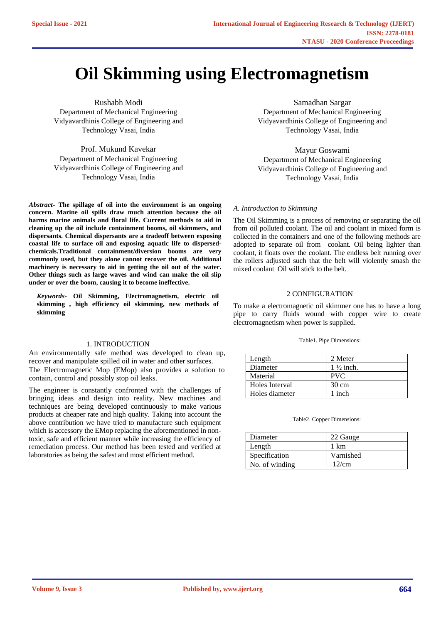# **Oil Skimming using Electromagnetism**

Rushabh Modi Department of Mechanical Engineering Vidyavardhinis College of Engineering and Technology Vasai, India

Prof. Mukund Kavekar Department of Mechanical Engineering Vidyavardhinis College of Engineering and Technology Vasai, India

*Abstract-* **The spillage of oil into the environment is an ongoing concern. Marine oil spills draw much attention because the oil harms marine animals and floral life. Current methods to aid in cleaning up the oil include containment booms, oil skimmers, and dispersants. Chemical dispersants are a tradeoff between exposing coastal life to surface oil and exposing aquatic life to dispersedchemicals.Traditional containment/diversion booms are very commonly used, but they alone cannot recover the oil. Additional machinery is necessary to aid in getting the oil out of the water. Other things such as large waves and wind can make the oil slip under or over the boom, causing it to become ineffective.**

*Keywords***- Oil Skimming, Electromagnetism, electric oil skimming , high efficiency oil skimming, new methods of skimming**

# 1. INTRODUCTION

An environmentally safe method was developed to clean up, recover and manipulate spilled oil in water and other surfaces. The Electromagnetic Mop (EMop) also provides a solution to contain, control and possibly stop oil leaks.

The engineer is constantly confronted with the challenges of bringing ideas and design into reality. New machines and techniques are being developed continuously to make various products at cheaper rate and high quality. Taking into account the above contribution we have tried to manufacture such equipment which is accessory the EMop replacing the aforementioned in nontoxic, safe and efficient manner while increasing the efficiency of remediation process. Our method has been tested and verified at laboratories as being the safest and most efficient method.

Samadhan Sargar Department of Mechanical Engineering Vidyavardhinis College of Engineering and Technology Vasai, India

Mayur Goswami Department of Mechanical Engineering Vidyavardhinis College of Engineering and Technology Vasai, India

# *A. Introduction to Skimming*

The Oil Skimming is a process of removing or separating the oil from oil polluted coolant. The oil and coolant in mixed form is collected in the containers and one of the following methods are adopted to separate oil from coolant. Oil being lighter than coolant, it floats over the coolant. The endless belt running over the rollers adjusted such that the belt will violently smash the mixed coolant Oil will stick to the belt.

# 2 CONFIGURATION

To make a electromagnetic oil skimmer one has to have a long pipe to carry fluids wound with copper wire to create electromagnetism when power is supplied.

## Table1. Pipe Dimensions:

| Length         | 2 Meter              |
|----------------|----------------------|
| Diameter       | $1\frac{1}{2}$ inch. |
| Material       | <b>PVC</b>           |
| Holes Interval | $30 \text{ cm}$      |
| Holes diameter | 1 inch               |

#### Table2. Copper Dimensions:

| Diameter       | 22 Gauge  |
|----------------|-----------|
| Length         | 1 km      |
| Specification  | Varnished |
| No. of winding | 12/cm     |